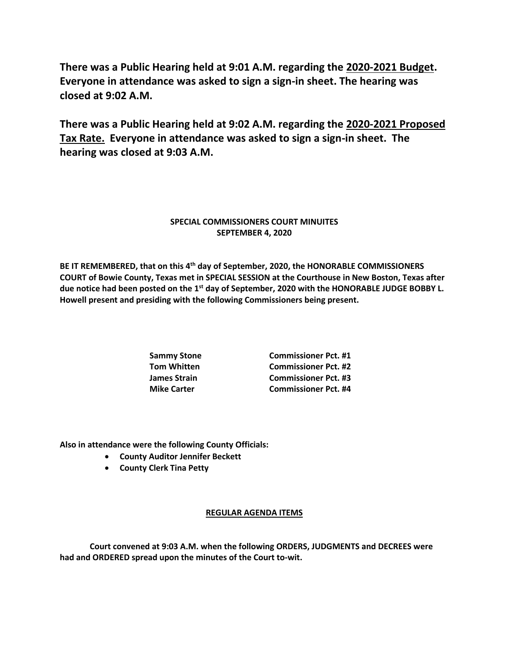**There was a Public Hearing held at 9:01 A.M. regarding the 2020-2021 Budget. Everyone in attendance was asked to sign a sign-in sheet. The hearing was closed at 9:02 A.M.**

**There was a Public Hearing held at 9:02 A.M. regarding the 2020-2021 Proposed Tax Rate. Everyone in attendance was asked to sign a sign-in sheet. The hearing was closed at 9:03 A.M.**

## **SPECIAL COMMISSIONERS COURT MINUITES SEPTEMBER 4, 2020**

**BE IT REMEMBERED, that on this 4th day of September, 2020, the HONORABLE COMMISSIONERS COURT of Bowie County, Texas met in SPECIAL SESSION at the Courthouse in New Boston, Texas after due notice had been posted on the 1st day of September, 2020 with the HONORABLE JUDGE BOBBY L. Howell present and presiding with the following Commissioners being present.**

**Sammy Stone Commissioner Pct. #1 Tom Whitten Commissioner Pct. #2 James Strain Commissioner Pct. #3 Mike Carter Commissioner Pct. #4**

**Also in attendance were the following County Officials:**

- **County Auditor Jennifer Beckett**
- **County Clerk Tina Petty**

## **REGULAR AGENDA ITEMS**

**Court convened at 9:03 A.M. when the following ORDERS, JUDGMENTS and DECREES were had and ORDERED spread upon the minutes of the Court to-wit.**